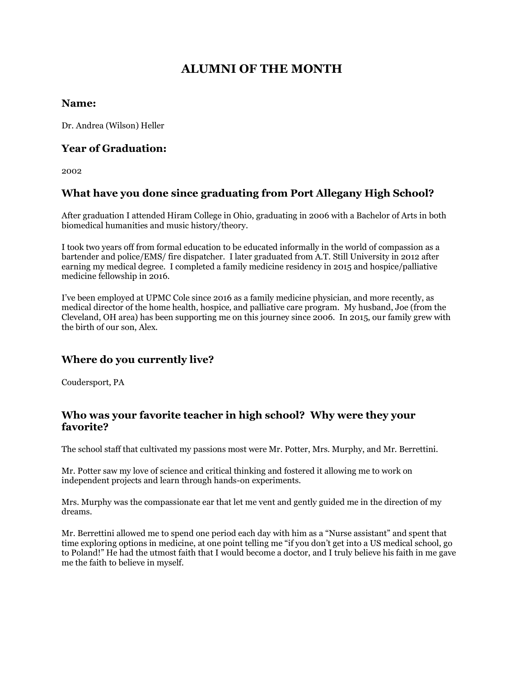# **ALUMNI OF THE MONTH**

#### **Name:**

Dr. Andrea (Wilson) Heller

#### **Year of Graduation:**

2002

### **What have you done since graduating from Port Allegany High School?**

After graduation I attended Hiram College in Ohio, graduating in 2006 with a Bachelor of Arts in both biomedical humanities and music history/theory.

I took two years off from formal education to be educated informally in the world of compassion as a bartender and police/EMS/ fire dispatcher. I later graduated from A.T. Still University in 2012 after earning my medical degree. I completed a family medicine residency in 2015 and hospice/palliative medicine fellowship in 2016.

I've been employed at UPMC Cole since 2016 as a family medicine physician, and more recently, as medical director of the home health, hospice, and palliative care program. My husband, Joe (from the Cleveland, OH area) has been supporting me on this journey since 2006. In 2015, our family grew with the birth of our son, Alex.

### **Where do you currently live?**

Coudersport, PA

#### **Who was your favorite teacher in high school? Why were they your favorite?**

The school staff that cultivated my passions most were Mr. Potter, Mrs. Murphy, and Mr. Berrettini.

Mr. Potter saw my love of science and critical thinking and fostered it allowing me to work on independent projects and learn through hands-on experiments.

Mrs. Murphy was the compassionate ear that let me vent and gently guided me in the direction of my dreams.

Mr. Berrettini allowed me to spend one period each day with him as a "Nurse assistant" and spent that time exploring options in medicine, at one point telling me "if you don't get into a US medical school, go to Poland!" He had the utmost faith that I would become a doctor, and I truly believe his faith in me gave me the faith to believe in myself.